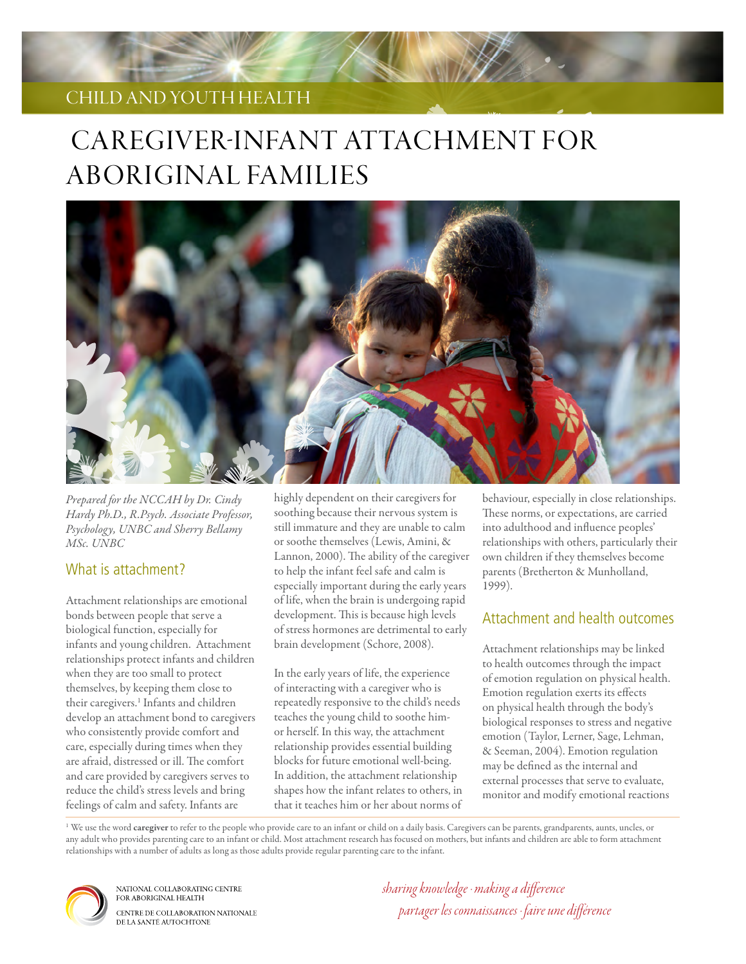# child and yOuth health

# Caregiver-Infant Attachment for Aboriginal Families



*Prepared for the NCCAH by Dr. Cindy Hardy Ph.D., R.Psych. Associate Professor, Psychology, UNBC and Sherry Bellamy MSc. UNBC*

## What is attachment?

Attachment relationships are emotional bonds between people that serve a biological function, especially for infants and young children. Attachment relationships protect infants and children when they are too small to protect themselves, by keeping them close to their caregivers.<sup>1</sup> Infants and children develop an attachment bond to caregivers who consistently provide comfort and care, especially during times when they are afraid, distressed or ill. The comfort and care provided by caregivers serves to reduce the child's stress levels and bring feelings of calm and safety. Infants are

highly dependent on their caregivers for soothing because their nervous system is still immature and they are unable to calm or soothe themselves (Lewis, Amini, & Lannon, 2000). The ability of the caregiver to help the infant feel safe and calm is especially important during the early years of life, when the brain is undergoing rapid development. This is because high levels of stress hormones are detrimental to early brain development (Schore, 2008).

In the early years of life, the experience of interacting with a caregiver who is repeatedly responsive to the child's needs teaches the young child to soothe himor herself. In this way, the attachment relationship provides essential building blocks for future emotional well-being. In addition, the attachment relationship shapes how the infant relates to others, in that it teaches him or her about norms of

behaviour, especially in close relationships. These norms, or expectations, are carried into adulthood and influence peoples' relationships with others, particularly their own children if they themselves become parents (Bretherton & Munholland, 1999).

## Attachment and health outcomes

Attachment relationships may be linked to health outcomes through the impact of emotion regulation on physical health. Emotion regulation exerts its effects on physical health through the body's biological responses to stress and negative emotion (Taylor, Lerner, Sage, Lehman, & Seeman, 2004). Emotion regulation may be defined as the internal and external processes that serve to evaluate, monitor and modify emotional reactions

<sup>1</sup> We use the word caregiver to refer to the people who provide care to an infant or child on a daily basis. Caregivers can be parents, grandparents, aunts, uncles, or any adult who provides parenting care to an infant or child. Most attachment research has focused on mothers, but infants and children are able to form attachment relationships with a number of adults as long as those adults provide regular parenting care to the infant.



NATIONAL COLLABORATING CENTRE FOR ABORIGINAL HEALTH CENTRE DE COLLABORATION NATIONALE DE LA SANTÉ AUTOCHTONE

*sharing knowledge · making a difference partager les connaissances · faire une différence*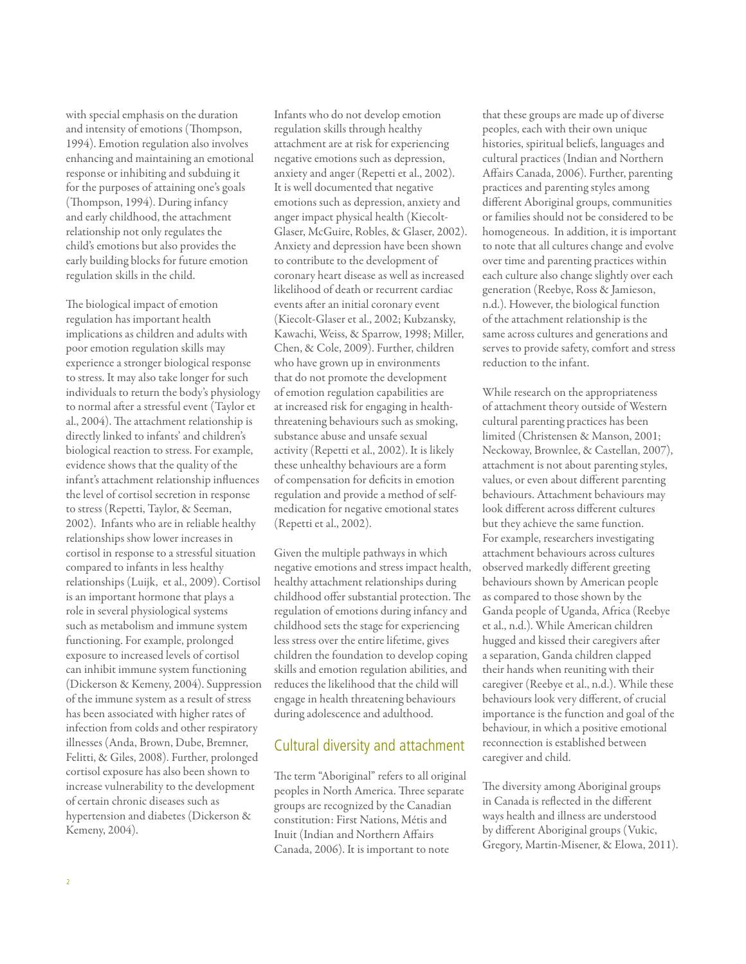with special emphasis on the duration and intensity of emotions (Thompson, 1994). Emotion regulation also involves enhancing and maintaining an emotional response or inhibiting and subduing it for the purposes of attaining one's goals (Thompson, 1994). During infancy and early childhood, the attachment relationship not only regulates the child's emotions but also provides the early building blocks for future emotion regulation skills in the child.

The biological impact of emotion regulation has important health implications as children and adults with poor emotion regulation skills may experience a stronger biological response to stress. It may also take longer for such individuals to return the body's physiology to normal after a stressful event (Taylor et al., 2004). The attachment relationship is directly linked to infants' and children's biological reaction to stress. For example, evidence shows that the quality of the infant's attachment relationship influences the level of cortisol secretion in response to stress (Repetti, Taylor, & Seeman, 2002). Infants who are in reliable healthy relationships show lower increases in cortisol in response to a stressful situation compared to infants in less healthy relationships (Luijk, et al., 2009). Cortisol is an important hormone that plays a role in several physiological systems such as metabolism and immune system functioning. For example, prolonged exposure to increased levels of cortisol can inhibit immune system functioning (Dickerson & Kemeny, 2004). Suppression of the immune system as a result of stress has been associated with higher rates of infection from colds and other respiratory illnesses (Anda, Brown, Dube, Bremner, Felitti, & Giles, 2008). Further, prolonged cortisol exposure has also been shown to increase vulnerability to the development of certain chronic diseases such as hypertension and diabetes (Dickerson & Kemeny, 2004).

Infants who do not develop emotion regulation skills through healthy attachment are at risk for experiencing negative emotions such as depression, anxiety and anger (Repetti et al., 2002). It is well documented that negative emotions such as depression, anxiety and anger impact physical health (Kiecolt-Glaser, McGuire, Robles, & Glaser, 2002). Anxiety and depression have been shown to contribute to the development of coronary heart disease as well as increased likelihood of death or recurrent cardiac events after an initial coronary event (Kiecolt-Glaser et al., 2002; Kubzansky, Kawachi, Weiss, & Sparrow, 1998; Miller, Chen, & Cole, 2009). Further, children who have grown up in environments that do not promote the development of emotion regulation capabilities are at increased risk for engaging in healththreatening behaviours such as smoking, substance abuse and unsafe sexual activity (Repetti et al., 2002). It is likely these unhealthy behaviours are a form of compensation for deficits in emotion regulation and provide a method of selfmedication for negative emotional states (Repetti et al., 2002).

Given the multiple pathways in which negative emotions and stress impact health, healthy attachment relationships during childhood offer substantial protection. The regulation of emotions during infancy and childhood sets the stage for experiencing less stress over the entire lifetime, gives children the foundation to develop coping skills and emotion regulation abilities, and reduces the likelihood that the child will engage in health threatening behaviours during adolescence and adulthood.

## Cultural diversity and attachment

The term "Aboriginal" refers to all original peoples in North America. Three separate groups are recognized by the Canadian constitution: First Nations, Métis and Inuit (Indian and Northern Affairs Canada, 2006). It is important to note

that these groups are made up of diverse peoples, each with their own unique histories, spiritual beliefs, languages and cultural practices (Indian and Northern Affairs Canada, 2006). Further, parenting practices and parenting styles among different Aboriginal groups, communities or families should not be considered to be homogeneous. In addition, it is important to note that all cultures change and evolve over time and parenting practices within each culture also change slightly over each generation (Reebye, Ross & Jamieson, n.d.). However, the biological function of the attachment relationship is the same across cultures and generations and serves to provide safety, comfort and stress reduction to the infant.

While research on the appropriateness of attachment theory outside of Western cultural parenting practices has been limited (Christensen & Manson, 2001; Neckoway, Brownlee, & Castellan, 2007), attachment is not about parenting styles, values, or even about different parenting behaviours. Attachment behaviours may look different across different cultures but they achieve the same function. For example, researchers investigating attachment behaviours across cultures observed markedly different greeting behaviours shown by American people as compared to those shown by the Ganda people of Uganda, Africa (Reebye et al., n.d.). While American children hugged and kissed their caregivers after a separation, Ganda children clapped their hands when reuniting with their caregiver (Reebye et al., n.d.). While these behaviours look very different, of crucial importance is the function and goal of the behaviour, in which a positive emotional reconnection is established between caregiver and child.

The diversity among Aboriginal groups in Canada is reflected in the different ways health and illness are understood by different Aboriginal groups (Vukic, Gregory, Martin-Misener, & Elowa, 2011).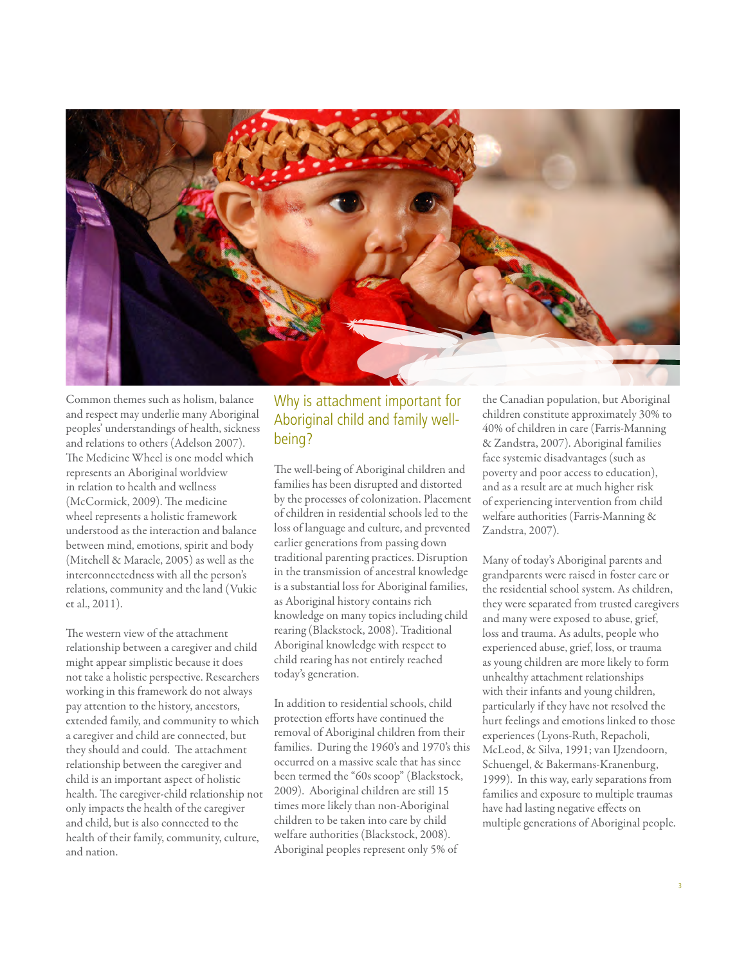

Common themes such as holism, balance and respect may underlie many Aboriginal peoples' understandings of health, sickness and relations to others (Adelson 2007). The Medicine Wheel is one model which represents an Aboriginal worldview in relation to health and wellness (McCormick, 2009). The medicine wheel represents a holistic framework understood as the interaction and balance between mind, emotions, spirit and body (Mitchell & Maracle, 2005) as well as the interconnectedness with all the person's relations, community and the land (Vukic et al., 2011).

The western view of the attachment relationship between a caregiver and child might appear simplistic because it does not take a holistic perspective. Researchers working in this framework do not always pay attention to the history, ancestors, extended family, and community to which a caregiver and child are connected, but they should and could. The attachment relationship between the caregiver and child is an important aspect of holistic health. The caregiver-child relationship not only impacts the health of the caregiver and child, but is also connected to the health of their family, community, culture, and nation.

# Why is attachment important for Aboriginal child and family wellbeing?

The well-being of Aboriginal children and families has been disrupted and distorted by the processes of colonization. Placement of children in residential schools led to the loss of language and culture, and prevented earlier generations from passing down traditional parenting practices. Disruption in the transmission of ancestral knowledge is a substantial loss for Aboriginal families, as Aboriginal history contains rich knowledge on many topics including child rearing (Blackstock, 2008). Traditional Aboriginal knowledge with respect to child rearing has not entirely reached today's generation.

In addition to residential schools, child protection efforts have continued the removal of Aboriginal children from their families. During the 1960's and 1970's this occurred on a massive scale that has since been termed the "60s scoop" (Blackstock, 2009). Aboriginal children are still 15 times more likely than non-Aboriginal children to be taken into care by child welfare authorities (Blackstock, 2008). Aboriginal peoples represent only 5% of

the Canadian population, but Aboriginal children constitute approximately 30% to 40% of children in care (Farris-Manning & Zandstra, 2007). Aboriginal families face systemic disadvantages (such as poverty and poor access to education), and as a result are at much higher risk of experiencing intervention from child welfare authorities (Farris-Manning & Zandstra, 2007).

Many of today's Aboriginal parents and grandparents were raised in foster care or the residential school system. As children, they were separated from trusted caregivers and many were exposed to abuse, grief, loss and trauma. As adults, people who experienced abuse, grief, loss, or trauma as young children are more likely to form unhealthy attachment relationships with their infants and young children, particularly if they have not resolved the hurt feelings and emotions linked to those experiences (Lyons-Ruth, Repacholi, McLeod, & Silva, 1991; van IJzendoorn, Schuengel, & Bakermans-Kranenburg, 1999). In this way, early separations from families and exposure to multiple traumas have had lasting negative effects on multiple generations of Aboriginal people.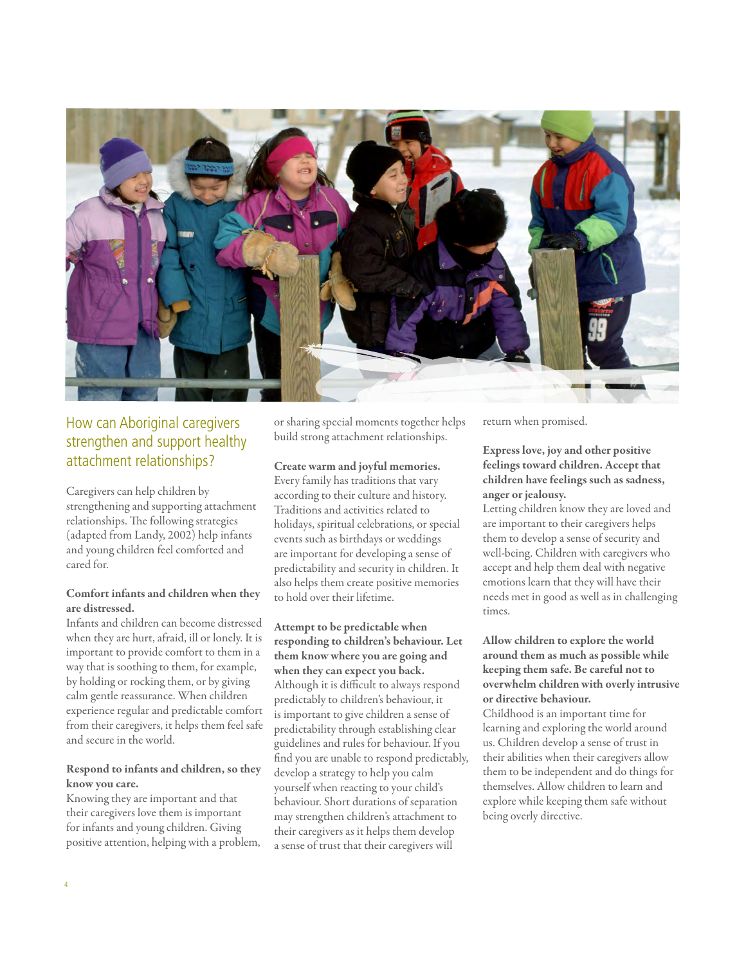

# How can Aboriginal caregivers strengthen and support healthy attachment relationships?

Caregivers can help children by strengthening and supporting attachment relationships. The following strategies (adapted from Landy, 2002) help infants and young children feel comforted and cared for.

#### Comfort infants and children when they are distressed.

Infants and children can become distressed when they are hurt, afraid, ill or lonely. It is important to provide comfort to them in a way that is soothing to them, for example, by holding or rocking them, or by giving calm gentle reassurance. When children experience regular and predictable comfort from their caregivers, it helps them feel safe and secure in the world.

## Respond to infants and children, so they know you care.

Knowing they are important and that their caregivers love them is important for infants and young children. Giving positive attention, helping with a problem, or sharing special moments together helps build strong attachment relationships.

#### Create warm and joyful memories.

Every family has traditions that vary according to their culture and history. Traditions and activities related to holidays, spiritual celebrations, or special events such as birthdays or weddings are important for developing a sense of predictability and security in children. It also helps them create positive memories to hold over their lifetime.

## Attempt to be predictable when responding to children's behaviour. Let them know where you are going and when they can expect you back. Although it is difficult to always respond predictably to children's behaviour, it is important to give children a sense of predictability through establishing clear guidelines and rules for behaviour. If you find you are unable to respond predictably, develop a strategy to help you calm yourself when reacting to your child's behaviour. Short durations of separation

may strengthen children's attachment to their caregivers as it helps them develop a sense of trust that their caregivers will

return when promised.

Express love, joy and other positive feelings toward children. Accept that children have feelings such as sadness, anger or jealousy.

Letting children know they are loved and are important to their caregivers helps them to develop a sense of security and well-being. Children with caregivers who accept and help them deal with negative emotions learn that they will have their needs met in good as well as in challenging times.

## Allow children to explore the world around them as much as possible while keeping them safe. Be careful not to overwhelm children with overly intrusive or directive behaviour.

Childhood is an important time for learning and exploring the world around us. Children develop a sense of trust in their abilities when their caregivers allow them to be independent and do things for themselves. Allow children to learn and explore while keeping them safe without being overly directive.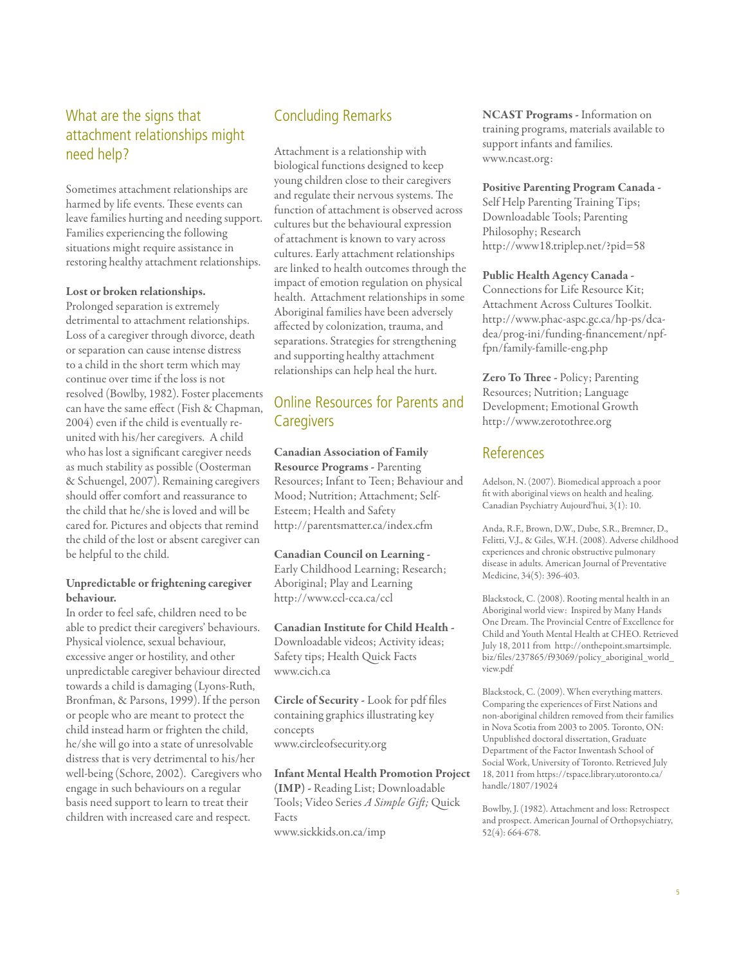# What are the signs that attachment relationships might need help?

Sometimes attachment relationships are harmed by life events. These events can leave families hurting and needing support. Families experiencing the following situations might require assistance in restoring healthy attachment relationships.

#### Lost or broken relationships.

Prolonged separation is extremely detrimental to attachment relationships. Loss of a caregiver through divorce, death or separation can cause intense distress to a child in the short term which may continue over time if the loss is not resolved (Bowlby, 1982). Foster placements can have the same effect (Fish & Chapman, 2004) even if the child is eventually reunited with his/her caregivers. A child who has lost a significant caregiver needs as much stability as possible (Oosterman & Schuengel, 2007). Remaining caregivers should offer comfort and reassurance to the child that he/she is loved and will be cared for. Pictures and objects that remind the child of the lost or absent caregiver can be helpful to the child.

#### Unpredictable or frightening caregiver behaviour.

In order to feel safe, children need to be able to predict their caregivers' behaviours. Physical violence, sexual behaviour, excessive anger or hostility, and other unpredictable caregiver behaviour directed towards a child is damaging (Lyons-Ruth, Bronfman, & Parsons, 1999). If the person or people who are meant to protect the child instead harm or frighten the child, he/she will go into a state of unresolvable distress that is very detrimental to his/her well-being (Schore, 2002). Caregivers who engage in such behaviours on a regular basis need support to learn to treat their children with increased care and respect.

## Concluding Remarks

Attachment is a relationship with biological functions designed to keep young children close to their caregivers and regulate their nervous systems. The function of attachment is observed across cultures but the behavioural expression of attachment is known to vary across cultures. Early attachment relationships are linked to health outcomes through the impact of emotion regulation on physical health. Attachment relationships in some Aboriginal families have been adversely affected by colonization, trauma, and separations. Strategies for strengthening and supporting healthy attachment relationships can help heal the hurt.

## Online Resources for Parents and **Caregivers**

Canadian Association of Family Resource Programs - Parenting Resources; Infant to Teen; Behaviour and Mood; Nutrition; Attachment; Self-Esteem; Health and Safety http://parentsmatter.ca/index.cfm

Canadian Council on Learning - Early Childhood Learning; Research; Aboriginal; Play and Learning http://www.ccl-cca.ca/ccl

Canadian Institute for Child Health - Downloadable videos; Activity ideas; Safety tips; Health Quick Facts www.cich.ca

Circle of Security - Look for pdf files containing graphics illustrating key concepts www.circleofsecurity.org

Infant Mental Health Promotion Project

(IMP) - Reading List; Downloadable Tools; Video Series *A Simple Gift;* Quick Facts www.sickkids.on.ca/imp

NCAST Programs - Information on training programs, materials available to support infants and families. www.ncast.org:

#### Positive Parenting Program Canada -

Self Help Parenting Training Tips; Downloadable Tools; Parenting Philosophy; Research http://www18.triplep.net/?pid=58

#### Public Health Agency Canada -

Connections for Life Resource Kit; Attachment Across Cultures Toolkit. http://www.phac-aspc.gc.ca/hp-ps/dcadea/prog-ini/funding-financement/npffpn/family-famille-eng.php

Zero To Three - Policy; Parenting Resources; Nutrition; Language Development; Emotional Growth http://www.zerotothree.org

## References

Adelson, N. (2007). Biomedical approach a poor fit with aboriginal views on health and healing. Canadian Psychiatry Aujourd'hui, 3(1): 10.

Anda, R.F., Brown, D.W., Dube, S.R., Bremner, D., Felitti, V.J., & Giles, W.H. (2008). Adverse childhood experiences and chronic obstructive pulmonary disease in adults. American Journal of Preventative Medicine, 34(5): 396-403.

Blackstock, C. (2008). Rooting mental health in an Aboriginal world view: Inspired by Many Hands One Dream. The Provincial Centre of Excellence for Child and Youth Mental Health at CHEO. Retrieved July 18, 2011 from http://onthepoint.smartsimple. biz/files/237865/f93069/policy\_aboriginal\_world\_ view.pdf

Blackstock, C. (2009). When everything matters. Comparing the experiences of First Nations and non-aboriginal children removed from their families in Nova Scotia from 2003 to 2005. Toronto, ON: Unpublished doctoral dissertation, Graduate Department of the Factor Inwentash School of Social Work, University of Toronto. Retrieved July 18, 2011 from https://tspace.library.utoronto.ca/ handle/1807/19024

Bowlby, J. (1982). Attachment and loss: Retrospect and prospect. American Journal of Orthopsychiatry, 52(4): 664-678.